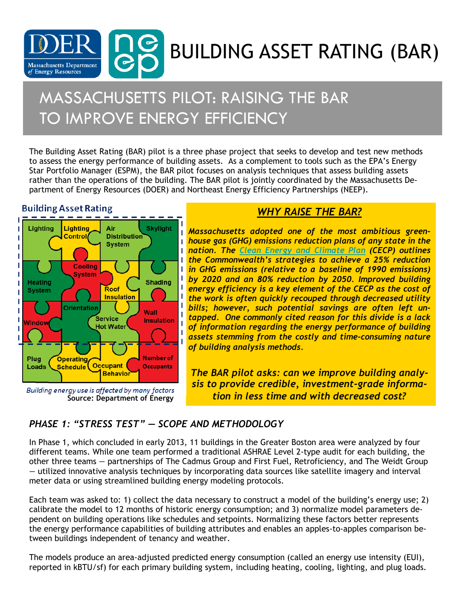

# MASSACHUSETTS PILOT: RAISING THE BAR TO IMPROVE ENERGY EFFICIENCY

The Building Asset Rating (BAR) pilot is a three phase project that seeks to develop and test new methods to assess the energy performance of building assets. As a complement to tools such as the EPA's Energy Star Portfolio Manager (ESPM), the BAR pilot focuses on analysis techniques that assess building assets rather than the operations of the building. The BAR pilot is jointly coordinated by the Massachusetts Department of Energy Resources (DOER) and Northeast Energy Efficiency Partnerships (NEEP).

#### **Building Asset Rating**



Building energy use is affected by many factors **Source: Department of Energy** 

### *WHY RAISE THE BAR?*

*Massachusetts adopted one of the most ambitious greenhouse gas (GHG) emissions reduction plans of any state in the nation. The [Clean Energy and Climate Plan](http://www.mass.gov/eea/docs/eea/energy/2020-clean-energy-plan.pdf) (CECP) outlines the Commonwealth's strategies to achieve a 25% reduction in GHG emissions (relative to a baseline of 1990 emissions) by 2020 and an 80% reduction by 2050. Improved building energy efficiency is a key element of the CECP as the cost of the work is often quickly recouped through decreased utility bills; however, such potential savings are often left untapped. One commonly cited reason for this divide is a lack of information regarding the energy performance of building assets stemming from the costly and time-consuming nature of building analysis methods.* 

*The BAR pilot asks: can we improve building analysis to provide credible, investment-grade information in less time and with decreased cost?*

### *PHASE 1: "STRESS TEST" — SCOPE AND METHODOLOGY*

In Phase 1, which concluded in early 2013, 11 buildings in the Greater Boston area were analyzed by four different teams. While one team performed a traditional ASHRAE Level 2-type audit for each building, the other three teams *—* partnerships of The Cadmus Group and First Fuel, Retroficiency, and The Weidt Group *—* utilized innovative analysis techniques by incorporating data sources like satellite imagery and interval meter data or using streamlined building energy modeling protocols.

Each team was asked to: 1) collect the data necessary to construct a model of the building's energy use; 2) calibrate the model to 12 months of historic energy consumption; and 3) normalize model parameters dependent on building operations like schedules and setpoints. Normalizing these factors better represents the energy performance capabilities of building attributes and enables an apples-to-apples comparison between buildings independent of tenancy and weather.

The models produce an area-adjusted predicted energy consumption (called an energy use intensity (EUI), reported in kBTU/sf) for each primary building system, including heating, cooling, lighting, and plug loads.